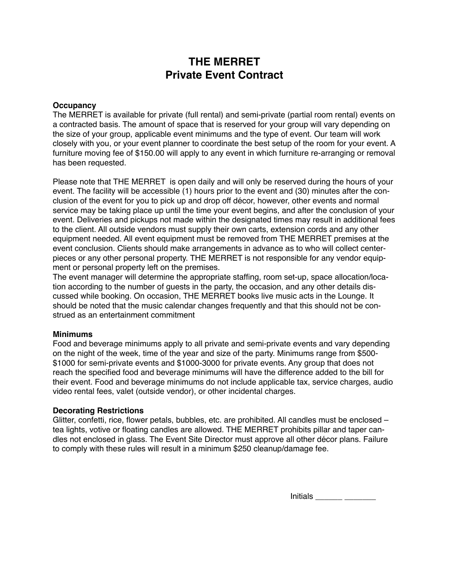# **THE MERRET Private Event Contract**

# **Occupancy**

The MERRET is available for private (full rental) and semi-private (partial room rental) events on a contracted basis. The amount of space that is reserved for your group will vary depending on the size of your group, applicable event minimums and the type of event. Our team will work closely with you, or your event planner to coordinate the best setup of the room for your event. A furniture moving fee of \$150.00 will apply to any event in which furniture re-arranging or removal has been requested.

Please note that THE MERRET is open daily and will only be reserved during the hours of your event. The facility will be accessible (1) hours prior to the event and (30) minutes after the conclusion of the event for you to pick up and drop off décor, however, other events and normal service may be taking place up until the time your event begins, and after the conclusion of your event. Deliveries and pickups not made within the designated times may result in additional fees to the client. All outside vendors must supply their own carts, extension cords and any other equipment needed. All event equipment must be removed from THE MERRET premises at the event conclusion. Clients should make arrangements in advance as to who will collect centerpieces or any other personal property. THE MERRET is not responsible for any vendor equipment or personal property left on the premises.

The event manager will determine the appropriate staffing, room set-up, space allocation/location according to the number of guests in the party, the occasion, and any other details discussed while booking. On occasion, THE MERRET books live music acts in the Lounge. It should be noted that the music calendar changes frequently and that this should not be construed as an entertainment commitment

# **Minimums**

Food and beverage minimums apply to all private and semi-private events and vary depending on the night of the week, time of the year and size of the party. Minimums range from \$500- \$1000 for semi-private events and \$1000-3000 for private events. Any group that does not reach the specified food and beverage minimums will have the difference added to the bill for their event. Food and beverage minimums do not include applicable tax, service charges, audio video rental fees, valet (outside vendor), or other incidental charges.

# **Decorating Restrictions**

Glitter, confetti, rice, flower petals, bubbles, etc. are prohibited. All candles must be enclosed – tea lights, votive or floating candles are allowed. THE MERRET prohibits pillar and taper candles not enclosed in glass. The Event Site Director must approve all other décor plans. Failure to comply with these rules will result in a minimum \$250 cleanup/damage fee.

**Initials** \_\_\_\_\_\_\_ \_\_\_\_\_\_\_\_\_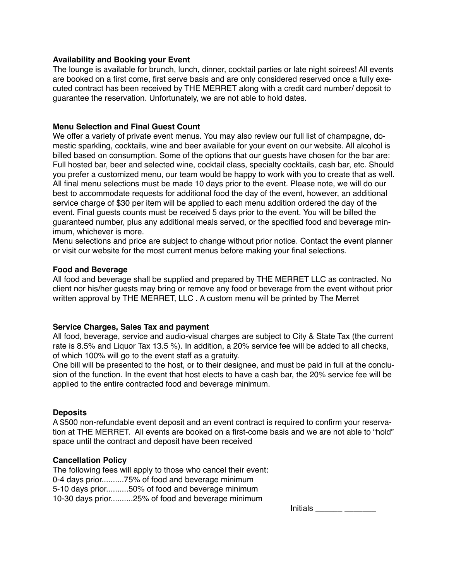# **Availability and Booking your Event**

The lounge is available for brunch, lunch, dinner, cocktail parties or late night soirees! All events are booked on a first come, first serve basis and are only considered reserved once a fully executed contract has been received by THE MERRET along with a credit card number/ deposit to guarantee the reservation. Unfortunately, we are not able to hold dates.

# **Menu Selection and Final Guest Count**

We offer a variety of private event menus. You may also review our full list of champagne, domestic sparkling, cocktails, wine and beer available for your event on our website. All alcohol is billed based on consumption. Some of the options that our guests have chosen for the bar are: Full hosted bar, beer and selected wine, cocktail class, specialty cocktails, cash bar, etc. Should you prefer a customized menu, our team would be happy to work with you to create that as well. All final menu selections must be made 10 days prior to the event. Please note, we will do our best to accommodate requests for additional food the day of the event, however, an additional service charge of \$30 per item will be applied to each menu addition ordered the day of the event. Final guests counts must be received 5 days prior to the event. You will be billed the guaranteed number, plus any additional meals served, or the specified food and beverage minimum, whichever is more.

Menu selections and price are subject to change without prior notice. Contact the event planner or visit our website for the most current menus before making your final selections.

# **Food and Beverage**

All food and beverage shall be supplied and prepared by THE MERRET LLC as contracted. No client nor his/her guests may bring or remove any food or beverage from the event without prior written approval by THE MERRET, LLC . A custom menu will be printed by The Merret

# **Service Charges, Sales Tax and payment**

All food, beverage, service and audio-visual charges are subject to City & State Tax (the current rate is 8.5% and Liquor Tax 13.5 %). In addition, a 20% service fee will be added to all checks, of which 100% will go to the event staff as a gratuity.

One bill will be presented to the host, or to their designee, and must be paid in full at the conclusion of the function. In the event that host elects to have a cash bar, the 20% service fee will be applied to the entire contracted food and beverage minimum.

# **Deposits**

A \$500 non-refundable event deposit and an event contract is required to confirm your reservation at THE MERRET. All events are booked on a first-come basis and we are not able to "hold" space until the contract and deposit have been received

#### **Cancellation Policy**

The following fees will apply to those who cancel their event: 0-4 days prior..........75% of food and beverage minimum 5-10 days prior..........50% of food and beverage minimum 10-30 days prior..........25% of food and beverage minimum

| <b>Initials</b> |  |  |
|-----------------|--|--|
|-----------------|--|--|